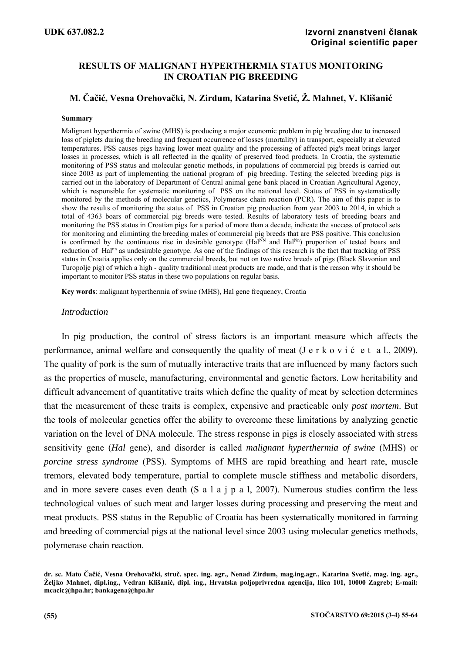## **RESULTS OF MALIGNANT HYPERTHERMIA STATUS MONITORING IN CROATIAN PIG BREEDING**

# **M. Čačić, Vesna Orehovački, N. Zirdum, Katarina Svetić, Ž. Mahnet, V. Klišanić**

#### **Summary**

Malignant hyperthermia of swine (MHS) is producing a major economic problem in pig breeding due to increased loss of piglets during the breeding and frequent occurrence of losses (mortality) in transport, especially at elevated temperatures. PSS causes pigs having lower meat quality and the processing of affected pig's meat brings larger losses in processes, which is all reflected in the quality of preserved food products. In Croatia, the systematic monitoring of PSS status and molecular genetic methods, in populations of commercial pig breeds is carried out since 2003 as part of implementing the national program of pig breeding. Testing the selected breeding pigs is carried out in the laboratory of Department of Central animal gene bank placed in Croatian Agricultural Agency, which is responsible for systematic monitoring of PSS on the national level. Status of PSS in systematically monitored by the methods of molecular genetics, Polymerase chain reaction (PCR). The aim of this paper is to show the results of monitoring the status of PSS in Croatian pig production from year 2003 to 2014, in which a total of 4363 boars of commercial pig breeds were tested. Results of laboratory tests of breeding boars and monitoring the PSS status in Croatian pigs for a period of more than a decade, indicate the success of protocol sets for monitoring and eliminting the breeding males of commercial pig breeds that are PSS positive. This conclusion is confirmed by the continuous rise in desirable genotype (Hal<sup>NN</sup> and Hal<sup>Nn</sup>) proportion of tested boars and reduction of Halnn as undesirable genotype. As one of the findings of this research is the fact that tracking of PSS status in Croatia applies only on the commercial breeds, but not on two native breeds of pigs (Black Slavonian and Turopolje pig) of which a high - quality traditional meat products are made, and that is the reason why it should be important to monitor PSS status in these two populations on regular basis.

**Key words**: malignant hyperthermia of swine (MHS), Hal gene frequency, Croatia

### *Introduction*

In pig production, the control of stress factors is an important measure which affects the performance, animal welfare and consequently the quality of meat (J e r k o v i ć e t a l., 2009). The quality of pork is the sum of mutually interactive traits that are influenced by many factors such as the properties of muscle, manufacturing, environmental and genetic factors. Low heritability and difficult advancement of quantitative traits which define the quality of meat by selection determines that the measurement of these traits is complex, expensive and practicable only *post mortem*. But the tools of molecular genetics offer the ability to overcome these limitations by analyzing genetic variation on the level of DNA molecule. The stress response in pigs is closely associated with stress sensitivity gene (*Hal* gene), and disorder is called *malignant hyperthermia of swine* (MHS) or *porcine stress syndrome* (PSS). Symptoms of MHS are rapid breathing and heart rate, muscle tremors, elevated body temperature, partial to complete muscle stiffness and metabolic disorders, and in more severe cases even death (S a l a j p a l, 2007). Numerous studies confirm the less technological values of such meat and larger losses during processing and preserving the meat and meat products. PSS status in the Republic of Croatia has been systematically monitored in farming and breeding of commercial pigs at the national level since 2003 using molecular genetics methods, polymerase chain reaction.

**dr. sc. Mato Čačić, Vesna Orehovački, struč. spec. ing. agr., Nenad Zirdum, mag.ing.agr., Katarina Svetić, mag. ing. agr., Željko Mahnet, dipl.ing., Vedran Klišanić, dipl. ing., Hrvatska poljoprivredna agencija, Ilica 101, 10000 Zagreb; E-mail: mcacic@hpa.hr; bankagena@hpa.hr**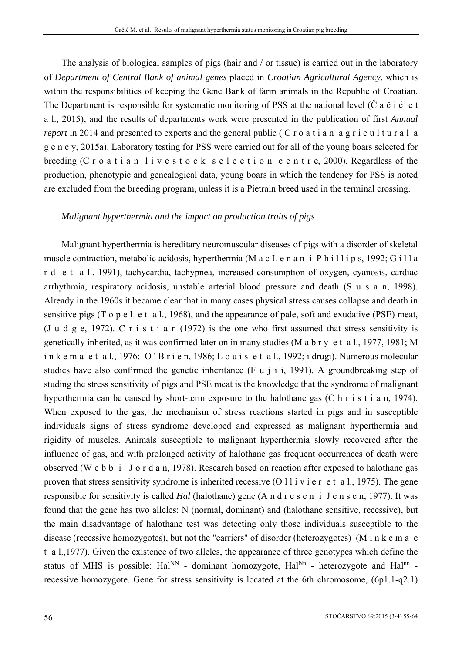The analysis of biological samples of pigs (hair and / or tissue) is carried out in the laboratory of *Department of Central Bank of animal genes* placed in *Croatian Agricultural Agency*, which is within the responsibilities of keeping the Gene Bank of farm animals in the Republic of Croatian. The Department is responsible for systematic monitoring of PSS at the national level ( $\dot{C}$  a  $\dot{c}$  i  $\dot{c}$  e t a l., 2015), and the results of departments work were presented in the publication of first *Annual report* in 2014 and presented to experts and the general public (C r o a t i a n a g r i c u l t u r a l a g e n c y, 2015a). Laboratory testing for PSS were carried out for all of the young boars selected for breeding (C r o a t i a n l i v e s t o c k s e l e c t i o n c e n t r e, 2000). Regardless of the production, phenotypic and genealogical data, young boars in which the tendency for PSS is noted are excluded from the breeding program, unless it is a Pietrain breed used in the terminal crossing.

### *Malignant hyperthermia and the impact on production traits of pigs*

Malignant hyperthermia is hereditary neuromuscular diseases of pigs with a disorder of skeletal muscle contraction, metabolic acidosis, hyperthermia (M a c L e n a n i P h i l l i p s, 1992; G i l l a r d e t a l., 1991), tachycardia, tachypnea, increased consumption of oxygen, cyanosis, cardiac arrhythmia, respiratory acidosis, unstable arterial blood pressure and death (S u s a n, 1998). Already in the 1960s it became clear that in many cases physical stress causes collapse and death in sensitive pigs (T o p e l e t a l., 1968), and the appearance of pale, soft and exudative (PSE) meat, (J u d g e, 1972). C r i s t i a n (1972) is the one who first assumed that stress sensitivity is genetically inherited, as it was confirmed later on in many studies (M a b r y e t a l., 1977, 1981; M i n k e m a e t a l., 1976; O ' B r i e n, 1986; L o u i s e t a l., 1992; i drugi). Numerous molecular studies have also confirmed the genetic inheritance (F u j i i, 1991). A groundbreaking step of studing the stress sensitivity of pigs and PSE meat is the knowledge that the syndrome of malignant hyperthermia can be caused by short-term exposure to the halothane gas (C h r i s t i a n, 1974). When exposed to the gas, the mechanism of stress reactions started in pigs and in susceptible individuals signs of stress syndrome developed and expressed as malignant hyperthermia and rigidity of muscles. Animals susceptible to malignant hyperthermia slowly recovered after the influence of gas, and with prolonged activity of halothane gas frequent occurrences of death were observed (W e b b i J o r d a n, 1978). Research based on reaction after exposed to halothane gas proven that stress sensitivity syndrome is inherited recessive  $(0 1 1 i v i e r e t a 1, 1975)$ . The gene responsible for sensitivity is called *Hal* (halothane) gene (A n d r e s e n i J e n s e n, 1977). It was found that the gene has two alleles: N (normal, dominant) and (halothane sensitive, recessive), but the main disadvantage of halothane test was detecting only those individuals susceptible to the disease (recessive homozygotes), but not the "carriers" of disorder (heterozygotes) (M i n k e m a e t a l.,1977). Given the existence of two alleles, the appearance of three genotypes which define the status of MHS is possible:  $\text{Hal}^{\text{NN}}$  - dominant homozygote,  $\text{Hal}^{\text{NN}}$  - heterozygote and  $\text{Hal}^{\text{NN}}$  recessive homozygote. Gene for stress sensitivity is located at the 6th chromosome, (6p1.1-q2.1)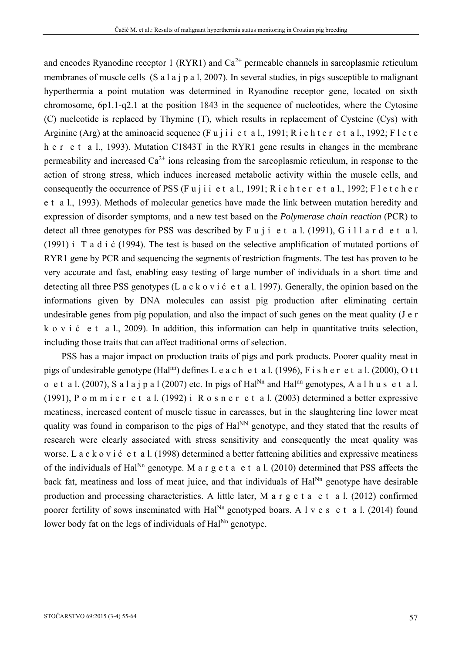and encodes Ryanodine receptor 1 (RYR1) and  $Ca^{2+}$  permeable channels in sarcoplasmic reticulum membranes of muscle cells (S a l a j p a l, 2007). In several studies, in pigs susceptible to malignant hyperthermia a point mutation was determined in Ryanodine receptor gene, located on sixth chromosome, 6p1.1-q2.1 at the position 1843 in the sequence of nucleotides, where the Cytosine (C) nucleotide is replaced by Thymine (T), which results in replacement of Cysteine (Cys) with Arginine (Arg) at the aminoacid sequence (Fu j i i e t a l., 1991; R i c h t e r e t a l., 1992; F l e t c h e r e t a l., 1993). Mutation C1843T in the RYR1 gene results in changes in the membrane permeability and increased  $Ca^{2+}$  ions releasing from the sarcoplasmic reticulum, in response to the action of strong stress, which induces increased metabolic activity within the muscle cells, and consequently the occurrence of PSS (Fujii et al., 1991; Richter et al., 1992; Fletcher e t a l., 1993). Methods of molecular genetics have made the link between mutation heredity and expression of disorder symptoms, and a new test based on the *Polymerase chain reaction* (PCR) to detect all three genotypes for PSS was described by F u j i e t a l. (1991), G i l l a r d e t a l. (1991) i T a d i ć (1994). The test is based on the selective amplification of mutated portions of RYR1 gene by PCR and sequencing the segments of restriction fragments. The test has proven to be very accurate and fast, enabling easy testing of large number of individuals in a short time and detecting all three PSS genotypes (L a c k o v i ć e t a l. 1997). Generally, the opinion based on the informations given by DNA molecules can assist pig production after eliminating certain undesirable genes from pig population, and also the impact of such genes on the meat quality (J e r k o v i ć e t a l., 2009). In addition, this information can help in quantitative traits selection, including those traits that can affect traditional orms of selection.

PSS has a major impact on production traits of pigs and pork products. Poorer quality meat in pigs of undesirable genotype (Hal<sup>nn</sup>) defines L e a c h e t a l. (1996), F i s h e r e t a l. (2000), O t t o e t a l. (2007), S a l a j p a l (2007) etc. In pigs of Hal<sup>Nn</sup> and Hal<sup>nn</sup> genotypes, A a l h u s e t a l. (1991), P o m m i e r e t a l. (1992) i R o s n e r e t a l. (2003) determined a better expressive meatiness, increased content of muscle tissue in carcasses, but in the slaughtering line lower meat quality was found in comparison to the pigs of Hal<sup>NN</sup> genotype, and they stated that the results of research were clearly associated with stress sensitivity and consequently the meat quality was worse. L a c k o v i ć e t a l. (1998) determined a better fattening abilities and expressive meatiness of the individuals of Hal<sup>Nn</sup> genotype. M a r g e t a e t a l. (2010) determined that PSS affects the back fat, meatiness and loss of meat juice, and that individuals of  $\text{Hal}^{\text{Nn}}$  genotype have desirable production and processing characteristics. A little later, M a r  $g e t a e t a l.$  (2012) confirmed poorer fertility of sows inseminated with  $\text{Hal}^{\text{Nn}}$  genotyped boars. A l v e s e t a l. (2014) found lower body fat on the legs of individuals of  $\text{Hal}^{\text{Nn}}$  genotype.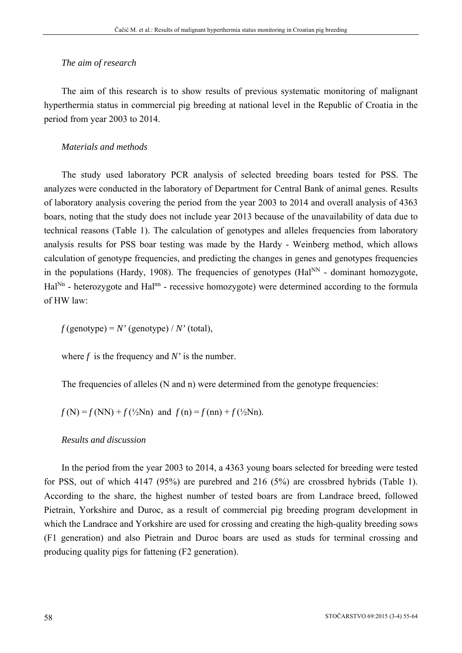### *The aim of research*

The aim of this research is to show results of previous systematic monitoring of malignant hyperthermia status in commercial pig breeding at national level in the Republic of Croatia in the period from year 2003 to 2014.

## *Materials and methods*

The study used laboratory PCR analysis of selected breeding boars tested for PSS. The analyzes were conducted in the laboratory of Department for Central Bank of animal genes. Results of laboratory analysis covering the period from the year 2003 to 2014 and overall analysis of 4363 boars, noting that the study does not include year 2013 because of the unavailability of data due to technical reasons (Table 1). The calculation of genotypes and alleles frequencies from laboratory analysis results for PSS boar testing was made by the Hardy - Weinberg method, which allows calculation of genotype frequencies, and predicting the changes in genes and genotypes frequencies in the populations (Hardy, 1908). The frequencies of genotypes (Hal $^{NN}$  - dominant homozygote, Hal<sup>Nn</sup> - heterozygote and Hal<sup>nn</sup> - recessive homozygote) were determined according to the formula of HW law:

 $f$ (genotype) =  $N'$  (genotype) /  $N'$  (total),

where  $f$  is the frequency and  $N'$  is the number.

The frequencies of alleles (N and n) were determined from the genotype frequencies:

 $f(N) = f(NN) + f(\frac{1}{2}Nn)$  and  $f(n) = f(nn) + f(\frac{1}{2}Nn)$ .

### *Results and discussion*

In the period from the year 2003 to 2014, a 4363 young boars selected for breeding were tested for PSS, out of which 4147 (95%) are purebred and 216 (5%) are crossbred hybrids (Table 1). According to the share, the highest number of tested boars are from Landrace breed, followed Pietrain, Yorkshire and Duroc, as a result of commercial pig breeding program development in which the Landrace and Yorkshire are used for crossing and creating the high-quality breeding sows (F1 generation) and also Pietrain and Duroc boars are used as studs for terminal crossing and producing quality pigs for fattening (F2 generation).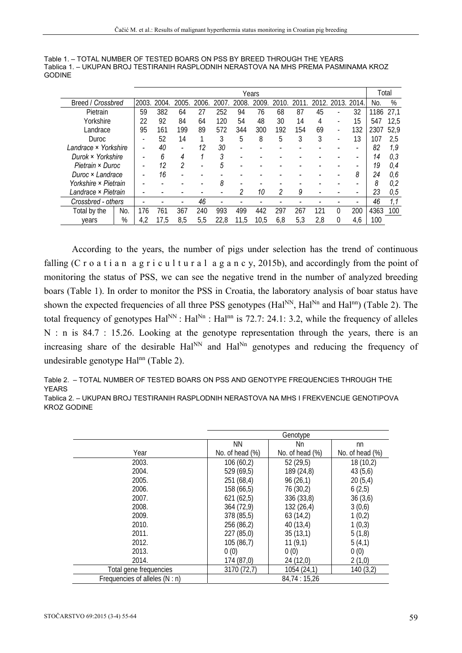| Table 1. – TOTAL NUMBER OF TESTED BOARS ON PSS BY BREED THROUGH THE YEARS            |
|--------------------------------------------------------------------------------------|
| Tablica 1. – UKUPAN BROJ TESTIRANIH RASPLODNIH NERASTOVA NA MHS PREMA PASMINAMA KROZ |
| GODINE                                                                               |

|                      |      | Years |      |      |       |      |      |      |      |      |     |                          |       | Total |      |
|----------------------|------|-------|------|------|-------|------|------|------|------|------|-----|--------------------------|-------|-------|------|
| Breed / Crossbred    |      | 2003. | 2004 | 2005 | 2006. | 2007 | 2008 | 2009 | 2010 | 2011 | 20  | 2013.                    | 2014. | No.   | %    |
| Pietrain             |      | 59    | 382  | 64   | 27    | 252  | 94   | 76   | 68   | 87   | 45  |                          | 32    | 1186  | 27,1 |
| Yorkshire            |      | 22    | 92   | 84   | 64    | 120  | 54   | 48   | 30   | 14   | 4   |                          | 15    | 547   | 12,5 |
| Landrace             |      | 95    | 161  | 199  | 89    | 572  | 344  | 300  | 192  | 154  | 69  |                          | 132   | 2307  | 52,9 |
| Duroc                |      |       | 52   | 14   |       | 3    | 5    | 8    | 5    | 3    | 3   | $\overline{\phantom{a}}$ | 13    | 107   | 2.5  |
| Landrace × Yorkshire |      |       | 40   |      | 12    | 30   |      |      |      |      |     |                          |       | 82    | 1.9  |
| Durok × Yorkshire    |      |       | 6    | 4    |       | 3    |      |      |      |      |     |                          |       | 14    | 0,3  |
| Pietrain × Duroc     |      |       | 12   | 2    |       | 5    |      |      |      |      |     |                          |       | 19    | 0,4  |
| Duroc × Landrace     |      |       | 16   |      |       |      |      |      |      |      |     |                          | 8     | 24    | 0,6  |
| Yorkshire × Pietrain |      |       |      |      |       | 8    |      |      |      |      |     |                          |       | 8     | 0.2  |
| Landrace × Pietrain  |      |       |      |      |       |      | 2    | 10   | 2    | 9    |     |                          |       | 23    | 0,5  |
| Crossbred - others   |      |       |      |      | 46    |      |      |      |      |      |     |                          |       | 46    | 1.1  |
| Total by the         | No.  | 176   | 761  | 367  | 240   | 993  | 499  | 442  | 297  | 267  | 121 | U                        | 200   | 4363  | 100  |
| vears                | $\%$ | 4,2   | 17.5 | 8,5  | 5,5   | 22.8 | 11,5 | 10.5 | 6,8  | 5,3  | 2,8 |                          | 4,6   | 100   |      |

 According to the years, the number of pigs under selection has the trend of continuous falling (C r o a t i a n a g r i c u l t u r a l a g a n c y, 2015b), and accordingly from the point of monitoring the status of PSS, we can see the negative trend in the number of analyzed breeding boars (Table 1). In order to monitor the PSS in Croatia, the laboratory analysis of boar status have shown the expected frequencies of all three PSS genotypes (Hal<sup>NN</sup>, Hal<sup>Nn</sup> and Hal<sup>nn</sup>) (Table 2). The total frequency of genotypes  $\text{Hal}^{\text{NN}}$ :  $\text{Hal}^{\text{Nn}}$  :  $\text{Hal}^{\text{nn}}$  is 72.7: 24.1: 3.2, while the frequency of alleles N : n is 84.7 : 15.26. Looking at the genotype representation through the years, there is an increasing share of the desirable  $Ha^{\text{NN}}$  and  $Ha^{\text{NN}}$  genotypes and reducing the frequency of undesirable genotype Hal<sup>nn</sup> (Table 2).

Table 2. – TOTAL NUMBER OF TESTED BOARS ON PSS AND GENOTYPE FREQUENCIES THROUGH THE YEARS

Tablica 2. – UKUPAN BROJ TESTIRANIH RASPLODNIH NERASTOVA NA MHS I FREKVENCIJE GENOTIPOVA KROZ GODINE

|                                | Genotype        |                    |                    |  |  |  |  |  |  |  |  |
|--------------------------------|-----------------|--------------------|--------------------|--|--|--|--|--|--|--|--|
|                                | <b>NN</b>       | Nn                 | nn                 |  |  |  |  |  |  |  |  |
| Year                           | No. of head (%) | No. of head $(\%)$ | No. of head $(\%)$ |  |  |  |  |  |  |  |  |
| 2003.                          | 106(60,2)       | 52(29,5)           | 18(10,2)           |  |  |  |  |  |  |  |  |
| 2004.                          | 529 (69,5)      | 189 (24,8)         | 43(5,6)            |  |  |  |  |  |  |  |  |
| 2005.                          | 251(68,4)       | 96(26,1)           | 20(5,4)            |  |  |  |  |  |  |  |  |
| 2006.                          | 158 (66,5)      | 76 (30,2)          | 6(2,5)             |  |  |  |  |  |  |  |  |
| 2007.                          | 621(62,5)       | 336 (33,8)         | 36(3,6)            |  |  |  |  |  |  |  |  |
| 2008.                          | 364 (72,9)      | 132 (26,4)         | 3(0,6)             |  |  |  |  |  |  |  |  |
| 2009.                          | 378 (85,5)      | 63(14,2)           | 1(0,2)             |  |  |  |  |  |  |  |  |
| 2010.                          | 256 (86,2)      | 40(13,4)           | 1(0,3)             |  |  |  |  |  |  |  |  |
| 2011.                          | 227 (85,0)      | 35(13,1)           | 5(1,8)             |  |  |  |  |  |  |  |  |
| 2012.                          | 105(86,7)       | 11(9,1)            | 5(4,1)             |  |  |  |  |  |  |  |  |
| 2013.                          | 0(0)            | 0(0)               | 0(0)               |  |  |  |  |  |  |  |  |
| 2014.                          | 174 (87,0)      | 24 (12,0)          | 2(1,0)             |  |  |  |  |  |  |  |  |
| Total gene frequencies         | 3170 (72,7)     | 1054 (24,1)        | 140(3,2)           |  |  |  |  |  |  |  |  |
| Frequencies of alleles (N : n) |                 | 84,74 : 15,26      |                    |  |  |  |  |  |  |  |  |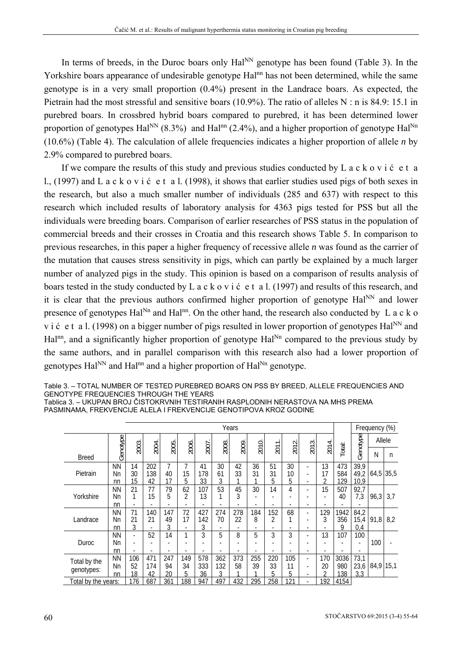In terms of breeds, in the Duroc boars only Hal<sup>NN</sup> genotype has been found (Table 3). In the Yorkshire boars appearance of undesirable genotype Hal<sup>nn</sup> has not been determined, while the same genotype is in a very small proportion (0.4%) present in the Landrace boars. As expected, the Pietrain had the most stressful and sensitive boars (10.9%). The ratio of alleles N : n is 84.9: 15.1 in purebred boars. In crossbred hybrid boars compared to purebred, it has been determined lower proportion of genotypes  $\text{Hal}^{\text{NN}}$  (8.3%) and  $\text{Hal}^{\text{nn}}$  (2.4%), and a higher proportion of genotype  $\text{Hal}^{\text{Nn}}$ (10.6%) (Table 4). The calculation of allele frequencies indicates a higher proportion of allele *n* by 2.9% compared to purebred boars.

If we compare the results of this study and previous studies conducted by L  $a c k o v i \dot{c} e t a$ l., (1997) and L a c k o v i ć e t a l. (1998), it shows that earlier studies used pigs of both sexes in the research, but also a much smaller number of individuals (285 and 637) with respect to this research which included results of laboratory analysis for 4363 pigs tested for PSS but all the individuals were breeding boars. Comparison of earlier researches of PSS status in the population of commercial breeds and their crosses in Croatia and this research shows Table 5. In comparison to previous researches, in this paper a higher frequency of recessive allele *n* was found as the carrier of the mutation that causes stress sensitivity in pigs, which can partly be explained by a much larger number of analyzed pigs in the study. This opinion is based on a comparison of results analysis of boars tested in the study conducted by L a c k o v i ć e t a l. (1997) and results of this research, and it is clear that the previous authors confirmed higher proportion of genotype  $\text{Hal}^{\text{NN}}$  and lower presence of genotypes  $\text{Hal}^{\text{Nn}}$  and  $\text{Hal}^{\text{nn}}$ . On the other hand, the research also conducted by L a c k o v i ć e t a l. (1998) on a bigger number of pigs resulted in lower proportion of genotypes Hal<sup>NN</sup> and Hal<sup>nn</sup>, and a significantly higher proportion of genotype  $\text{Hal}^{\text{Nn}}$  compared to the previous study by the same authors, and in parallel comparison with this research also had a lower proportion of genotypes  $\text{Hal}^{\text{NN}}$  and  $\text{Hal}^{\text{nn}}$  and a higher proportion of  $\text{Hal}^{\text{Nn}}$  genotype.

| Table 3. – TOTAL NUMBER OF TESTED PUREBRED BOARS ON PSS BY BREED. ALLELE FREQUENCIES AND |
|------------------------------------------------------------------------------------------|
| GENOTYPE FREQUENCIES THROUGH THE YEARS                                                   |
| Tablica 3. – UKUPAN BROJ ČISTOKRVNIH TESTIRANIH RASPLODNIH NERASTOVA NA MHS PREMA        |

Tablica 3. – UKUPAN BROJ ČISTOKRVNIH TESTIRANIH RASPLODNIH NERASTOVA NA MHS PREMA PASMINAMA, FREKVENCIJE ALELA I FREKVENCIJE GENOTIPOVA KROZ GODINE

| Years                      |                       |                 |                  |                 |                                      |                  |                 |           |           |                                      |                |                                                 |                            |                                       | Frequency (%)        |             |     |
|----------------------------|-----------------------|-----------------|------------------|-----------------|--------------------------------------|------------------|-----------------|-----------|-----------|--------------------------------------|----------------|-------------------------------------------------|----------------------------|---------------------------------------|----------------------|-------------|-----|
|                            |                       | 2003.           | 2004.            |                 | 2006.                                |                  | 2008.           | 2009      | 2010.     |                                      | 2012.          | 2013.                                           | 2014.                      |                                       | Genotype             | Allele      |     |
| <b>Breed</b>               | Genotype              |                 |                  | 2005.           |                                      | 2007             |                 |           |           | 2011                                 |                |                                                 |                            | Total:                                |                      | Ν           | n   |
| Pietrain                   | <b>NN</b><br>Nn<br>nn | 14<br>30<br>15  | 202<br>138<br>42 | 7<br>40<br>17   | 7<br>15<br>5                         | 41<br>178<br>33  | 30<br>61<br>3   | 42<br>33  | 36<br>31  | 51<br>31<br>5                        | 30<br>10<br>5  | $\overline{\phantom{a}}$<br>٠<br>÷              | 13<br>17<br>$\overline{2}$ | 473<br>584<br>129                     | 39,9<br>49,2<br>10,9 | $64,5$ 35,5 |     |
| Yorkshire                  | ΝN<br>Nn<br>nn        | 21<br>1         | 77<br>15         | 79<br>5         | 62<br>2                              | 107<br>13        | 53              | 45<br>3   | 30        | 14<br>٠                              | 4              | ÷<br>٠                                          | 15<br>٠                    | 507<br>40<br>$\overline{\phantom{a}}$ | 92,7<br>7,3          | 96,3        | 3.7 |
| Landrace                   | ΝN<br>Nn<br>nn        | 71<br>21<br>3   | 140<br>21        | 147<br>49<br>3  | 72<br>17<br>$\overline{\phantom{a}}$ | 427<br>142<br>3  | 274<br>70       | 278<br>22 | 184<br>8  | 152<br>2<br>$\overline{\phantom{a}}$ | 68<br>1        | $\overline{\phantom{a}}$<br>٠                   | 129<br>3<br>٠              | 1942<br>356<br>9                      | 84,2<br>15,4<br>0,4  | 91,8        | 8.2 |
| Duroc                      | ΝN<br>Νn<br>nn        | ٠               | 52               | 14              | ⅎ                                    | 3                | 5               | 8         | 5         | 3                                    | 3              | ÷                                               | 13                         | 107                                   | 100                  | 100         |     |
| Total by the<br>genotypes: | ΝN<br>Νn<br>nn        | 106<br>52<br>18 | 471<br>174<br>42 | 247<br>94<br>20 | 149<br>34<br>5                       | 578<br>333<br>36 | 362<br>132<br>3 | 373<br>58 | 255<br>39 | 220<br>33<br>5                       | 105<br>11<br>5 | $\blacksquare$<br>$\overline{\phantom{a}}$<br>٠ | 170<br>20<br>2             | 3036<br>980<br>138                    | 73,1<br>23,6<br>3,3  | 84,9 15,1   |     |
| Total by the years:        |                       | 176             | 687              | 361             | 188                                  | 947              | 497             | 432       | 295       | 258                                  | 121            | ÷                                               | 92                         | 4154                                  |                      |             |     |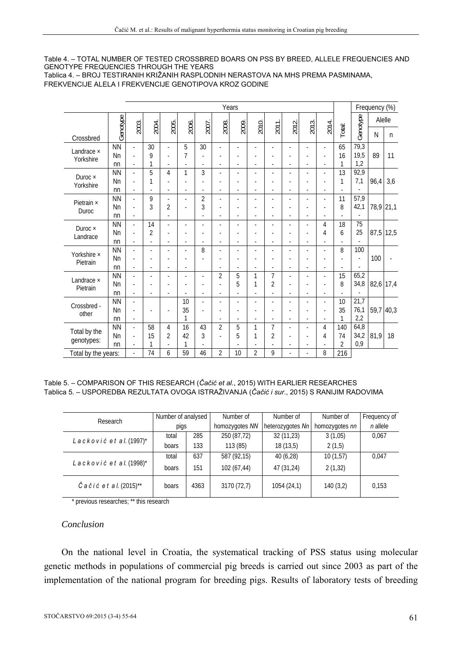#### Table 4. – TOTAL NUMBER OF TESTED CROSSBRED BOARS ON PSS BY BREED, ALLELE FREQUENCIES AND GENOTYPE FREQUENCIES THROUGH THE YEARS Tablica 4. – BROJ TESTIRANIH KRIŽANIH RASPLODNIH NERASTOVA NA MHS PREMA PASMINAMA,

FREKVENCIJE ALELA I FREKVENCIJE GENOTIPOVA KROZ GODINE

| Years                      |           |                          |                |                |       |       |       |       |                |                |       |       |                          |                | Frequency (%) |           |              |
|----------------------------|-----------|--------------------------|----------------|----------------|-------|-------|-------|-------|----------------|----------------|-------|-------|--------------------------|----------------|---------------|-----------|--------------|
|                            |           |                          |                |                |       |       |       |       |                |                |       |       |                          |                |               | Alelle    |              |
| Crossbred                  | Genotype  | 2003.                    | 2004.          | 2005.          | 2006. | 2007. | 2008. | 2009. | 2010.          | 2011.          | 2012. | 2013. | 2014.                    | Total:         | Genotype      | N         | $\mathsf{n}$ |
| Landrace ×                 | <b>NN</b> | ä,                       | 30             | ä,             | 5     | 30    |       |       |                |                |       | ÷,    | ÷,                       | 65             | 79,3          |           |              |
| Yorkshire                  | Nn        | ä,                       | 9              | ä,             | 7     |       |       |       |                |                |       |       | ٠                        | 16             | 19,5          | 89        | 11           |
|                            | nn        | $\overline{\phantom{a}}$ | 1              |                |       |       |       |       |                |                | ٠     | ٠     | ٠                        | 1              | 1,2           |           |              |
| Duroc $\times$             | <b>NN</b> | ÷.                       | 5              | $\overline{4}$ | 1     | 3     |       | ÷.    |                |                |       | ä,    | ä,                       | 13             | 92,9          |           |              |
| Yorkshire                  | Nn        | ä,                       | 1              |                |       |       |       | ÷.    |                |                |       | ä,    | ÷,                       | 1              | 7,1           | 96,4      | 3,6          |
|                            | nn        | ä,                       |                |                |       |       |       | ä,    |                | ä,             | ä,    | ä,    | ä,                       | ä,             |               |           |              |
| Pietrain ×                 | <b>NN</b> | ä,                       | 9              | ÷,             | ä,    | 2     |       | ٠     |                |                |       | ٠     | $\overline{\phantom{a}}$ | 11             | 57,9          |           |              |
| Duroc                      | Nn        | ÷.                       | 3              | $\overline{2}$ |       | 3     |       |       |                |                |       | ä,    | ÷                        | 8              | 42,1          | 78,9 21,1 |              |
|                            | nn        | ٠                        |                |                |       |       |       |       |                |                |       | ٠     | ٠                        |                |               |           |              |
| Duroc $\times$<br>Landrace | <b>NN</b> | ٠                        | 14             | $\blacksquare$ |       | ä,    |       | ٠     |                |                | ÷     | ä,    | 4                        | 18             | 75            |           |              |
|                            | Nn        | ä,                       | 2              | ä,             |       |       |       |       |                |                | ä,    | ٠     | 4                        | 6              | 25            | 87,5 12,5 |              |
|                            | nn        | ä,                       |                |                |       |       |       | ٠     | $\blacksquare$ | ٠              | ä,    | ÷,    | ÷,                       |                |               |           |              |
| Yorkshire ×                | <b>NN</b> | ä,                       |                | ä,             |       | 8     |       |       |                |                |       | ÷     | ٠                        | 8              | 100           |           |              |
| Pietrain                   | Nn        | ä,                       |                | ä,             |       |       |       |       |                |                |       | ٠     | ä,                       |                | ÷,            | 100       |              |
|                            | nn        | $\overline{\phantom{a}}$ |                | ٠              | ٠     |       |       |       |                |                | ٠     | ÷     | ٠                        | ä,             |               |           |              |
| Landrace ×                 | <b>NN</b> | $\overline{\phantom{a}}$ | $\overline{a}$ | ä,             | ٠     | ä,    | 2     | 5     | 1              | 7              | ä,    | ä,    | ä,                       | 15             | 65,2          |           |              |
| Pietrain                   | Nn        | ٠                        |                |                |       |       |       | 5     | 1              | $\overline{2}$ | ٠     | ä,    | ٠                        | 8              | 34,8          | 82,6 17,4 |              |
|                            | nn        | ٠                        |                | ä,             |       | ä,    | ٠     | ٠     |                |                | ٠     | ä,    | ٠                        |                |               |           |              |
| Crossbred -                | <b>NN</b> | ä,                       |                |                | 10    | ä,    |       |       |                |                |       | ä,    | ٠                        | 10             | 21,7          |           |              |
| other                      | Nn        | ä,                       |                | ä,             | 35    |       |       |       |                |                | ٠     | ä,    | ÷,                       | 35             | 76,1          | 59,7 40,3 |              |
|                            | nn        | ٠                        |                |                | 1     |       |       |       |                |                | ٠     | ٠     | ٠                        | 1              | 2,2           |           |              |
| Total by the               | <b>NN</b> | ٠                        | 58             | 4              | 16    | 43    | 2     | 5     | 1              | 7              | ٠     | ä,    | 4                        | 140            | 64,8          |           |              |
| genotypes:                 | Nn        | $\overline{\phantom{a}}$ | 15             | $\overline{2}$ | 42    | 3     |       | 5     | 1              | $\overline{2}$ | ٠     | ٠     | 4                        | 74             | 34,2          | 81,9      | 18           |
|                            | nn        |                          |                |                | 1     |       |       |       |                |                |       | ä,    |                          | $\overline{2}$ | 0,9           |           |              |
| Total by the years:        |           |                          | 74             | 6              | 59    | 46    | 2     | 10    | $\overline{2}$ | 9              |       | ä,    | 8                        | 216            |               |           |              |

#### Table 5. – COMPARISON OF THIS RESEARCH (*Čačić et al*., 2015) WITH EARLIER RESEARCHES Tablica 5. – USPOREDBA REZULTATA OVOGA ISTRAŽIVANJA (*Čačić i sur*., 2015) S RANIJIM RADOVIMA

| Research                              | Number of analysed |      | Number of<br>Number of |                  | Number of      | Frequency of |
|---------------------------------------|--------------------|------|------------------------|------------------|----------------|--------------|
|                                       | pigs               |      | homozygotes NN         | heterozygotes Nn | homozygotes nn | $n$ allele   |
| Lacković et al. $(1997)^*$            | total              | 285  | 250 (87,72)            | 32 (11,23)       | 3(1,05)        | 0,067        |
|                                       | boars              | 133  | 113 (85)               | 18(13,5)         | 2(1,5)         |              |
|                                       | total              | 637  | 587 (92,15)            | 40 (6,28)        | 10(1,57)       | 0.047        |
| Lacković et al. (1998)*               | boars              | 151  | 102 (67,44)            | 47 (31,24)       | 2(1,32)        |              |
| $\check{C}$ a č i ć e t a l. (2015)** | boars              | 4363 | 3170 (72,7)            | 1054 (24,1)      | 140(3,2)       | 0,153        |

\* previous researches; \*\* this research

## *Conclusion*

On the national level in Croatia, the systematical tracking of PSS status using molecular genetic methods in populations of commercial pig breeds is carried out since 2003 as part of the implementation of the national program for breeding pigs. Results of laboratory tests of breeding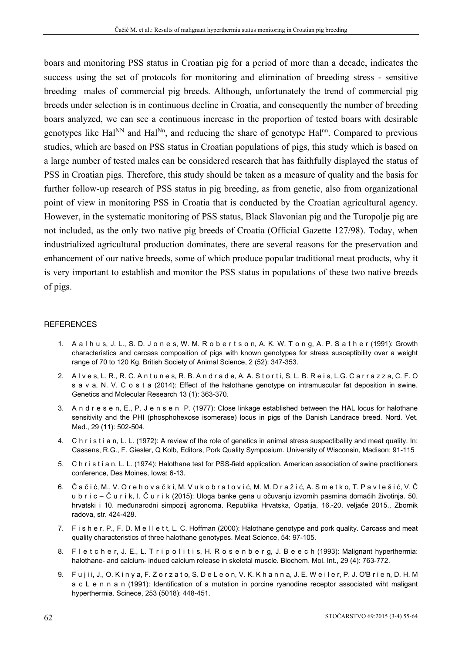boars and monitoring PSS status in Croatian pig for a period of more than a decade, indicates the success using the set of protocols for monitoring and elimination of breeding stress - sensitive breeding males of commercial pig breeds. Although, unfortunately the trend of commercial pig breeds under selection is in continuous decline in Croatia, and consequently the number of breeding boars analyzed, we can see a continuous increase in the proportion of tested boars with desirable genotypes like Hal<sup>NN</sup> and Hal<sup>Nn</sup>, and reducing the share of genotype Hal<sup>nn</sup>. Compared to previous studies, which are based on PSS status in Croatian populations of pigs, this study which is based on a large number of tested males can be considered research that has faithfully displayed the status of PSS in Croatian pigs. Therefore, this study should be taken as a measure of quality and the basis for further follow-up research of PSS status in pig breeding, as from genetic, also from organizational point of view in monitoring PSS in Croatia that is conducted by the Croatian agricultural agency. However, in the systematic monitoring of PSS status, Black Slavonian pig and the Turopolje pig are not included, as the only two native pig breeds of Croatia (Official Gazette 127/98). Today, when industrialized agricultural production dominates, there are several reasons for the preservation and enhancement of our native breeds, some of which produce popular traditional meat products, why it is very important to establish and monitor the PSS status in populations of these two native breeds of pigs.

#### **REFERENCES**

- 1. A a l h u s, J. L., S. D. J o n e s, W. M. R o b e r t s o n, A. K. W. T o n g, A. P. S a t h e r (1991): Growth characteristics and carcass composition of pigs with known genotypes for stress susceptibility over a weight range of 70 to 120 Kg. British Society of Animal Science, 2 (52): 347-353.
- 2. A l v e s, L. R., R. C. A n t u n e s, R. B. A n d r a d e, A. A. S t o r t i, S. L. B. R e i s, L.G. C a r r a z z a, C. F. O s a v a, N. V. C o s t a (2014): Effect of the halothane genotype on intramuscular fat deposition in swine. Genetics and Molecular Research 13 (1): 363-370.
- 3. A n d r e s e n, E., P. J e n s e n P. (1977): Close linkage established between the HAL locus for halothane sensitivity and the PHI (phosphohexose isomerase) locus in pigs of the Danish Landrace breed. Nord. Vet. Med., 29 (11): 502-504.
- 4. C h r i s t i a n, L. L. (1972): A review of the role of genetics in animal stress suspectibality and meat quality. In: Cassens, R.G., F. Giesler, Q Kolb, Editors, Pork Quality Symposium. University of Wisconsin, Madison: 91-115
- 5. C h r i s t i a n, L. L. (1974): Halothane test for PSS-field application. American association of swine practitioners conference, Des Moines, Iowa: 6-13.
- 6. Č a č i ć, M., V. O r e h o v a č k i, M. V u k o b r a t o v i ć, M. M. D r a ž i ć, A. S m e t k o, T. P a v l e š i ć, V. Č u b r i c – Č u r i k, I. Č u r i k (2015): Uloga banke gena u očuvanju izvornih pasmina domaćih životinja. 50. hrvatski i 10. međunarodni simpozij agronoma. Republika Hrvatska, Opatija, 16.-20. veljače 2015., Zbornik radova, str. 424-428.
- 7. F i s h e r, P., F. D. M e l l e t t, L. C. Hoffman (2000): Halothane genotype and pork quality. Carcass and meat quality characteristics of three halothane genotypes. Meat Science, 54: 97-105.
- 8. F l e t c h e r, J. E., L. T r i p o l i t i s, H. R o s e n b e r g, J. B e e c h (1993): Malignant hyperthermia: halothane- and calcium- indued calcium release in skeletal muscle. Biochem. Mol. Int., 29 (4): 763-772.
- 9. Fujii, J., O. Kinya, F. Zorzato, S. De Leon, V. K. Khanna, J. E. Weiler, P. J. O'Brien, D. H. M a c L e n n a n (1991): Identification of a mutation in porcine ryanodine receptor associated wiht maligant hyperthermia. Scinece, 253 (5018): 448-451.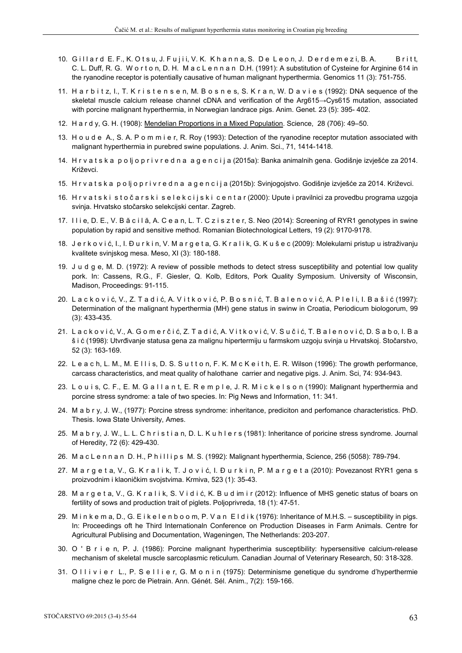- 10. Gill ard E. F., K. Otsu, J. Fujii, V. K. Khanna, S. De Leon, J. Derdemezi, B. A. Britt, C. L. Duff, R. G. W o r t o n, D. H. M a c L e n n a n D.H. (1991): A substitution of Cysteine for Arginine 614 in the ryanodine receptor is potentially causative of human malignant hyperthermia. Genomics 11 (3): 751-755.
- 11. H a r b i t z, I., T. K r i s t e n s e n, M. B o s n e s, S. K r a n, W. D a v i e s (1992): DNA sequence of the skeletal muscle calcium release channel cDNA and verification of the Arg615→Cys615 mutation, associated with porcine malignant hyperthermia, in Norwegian landrace pigs. Anim. Genet. 23 (5): 395- 402.
- 12. H a r d y, G. H. (1908): Mendelian Proportions in a Mixed Population. Science, 28 (706): 49–50.
- 13. H o u d e A., S. A. P o m m i e r, R. Roy (1993): Detection of the ryanodine receptor mutation associated with malignant hyperthermia in purebred swine populations. J. Anim. Sci., 71, 1414-1418.
- 14. H r v a t s k a p o lj o p r i v r e d n a a g e n c i j a (2015a): Banka animalnih gena. Godišnje izvješće za 2014. Križevci.
- 15. H r v a t s k a p o lj o p r i v r e d n a a g e n c i j a (2015b): Svinjogojstvo. Godišnje izvješće za 2014. Križevci.
- 16. H r v a t s k i s t o č a r s k i s e l e k c i j s k i c e n t a r (2000): Upute i pravilnici za provedbu programa uzgoja svinja. Hrvatsko stočarsko selekcijski centar. Zagreb.
- 17. Ilie, D. E., V. Băcilă, A. Cean, L. T. Cziszter, S. Neo (2014): Screening of RYR1 genotypes in swine population by rapid and sensitive method. Romanian Biotechnological Letters, 19 (2): 9170-9178.
- 18. J e r k o v i ć, I., I. Đ u r k i n, V. M a r g e t a, G. K r a l i k, G. K u š e c (2009): Molekularni pristup u istraživanju kvalitete svinjskog mesa. Meso, XI (3): 180-188.
- 19. J u d g e, M. D. (1972): A review of possible methods to detect stress susceptibility and potential low quality pork. In: Cassens, R.G., F. Giesler, Q. Kolb, Editors, Pork Quality Symposium. University of Wisconsin, Madison, Proceedings: 91-115.
- 20. Lacković, V., Z. Tadić, A. Vitković, P. Bosnić, T. Balenović, A. Pleli, I. Bašić (1997): Determination of the malignant hyperthermia (MH) gene status in swinw in Croatia, Periodicum biologorum, 99 (3): 433-435.
- 21. Lacković, V., A. Gomerčić, Z. Tadić, A. Vitković, V. Sučić, T. Balenović, D. Sabo, I. Ba š i ć (1998): Utvrđivanje statusa gena za malignu hipertermiju u farmskom uzgoju svinja u Hrvatskoj. Stočarstvo, 52 (3): 163-169.
- 22. Le a c h, L, M,, M, E l l i s, D, S, S u t t o n, F, K, M c K e i t h, E, R, Wilson (1996): The growth performance, carcass characteristics, and meat quality of halothane carrier and negative pigs. J. Anim. Sci, 74: 934-943.
- 23. L o u i s, C. F., E. M. G a l l a n t, E. R e m p l e, J. R. M i c k e l s o n (1990): Malignant hyperthermia and porcine stress syndrome: a tale of two species. In: Pig News and Information, 11: 341.
- 24. M a b r y, J. W., (1977): Porcine stress syndrome: inheritance, prediciton and perfomance characteristics. PhD. Thesis. Iowa State University, Ames.
- 25. M a b r y, J. W., L. L. C h r i s t i a n, D. L. K u h l e r s (1981): Inheritance of poricine stress syndrome. Journal of Heredity, 72 (6): 429-430.
- 26. M a c L e n n a n D. H., P h i l l i p s M. S. (1992): Malignant hyperthermia, Science, 256 (5058): 789-794.
- 27. M a r g e t a, V., G. K r a l i k, T. J o v i ć, I. Đ u r k i n, P. M a r g e t a (2010): Povezanost RYR1 gena s proizvodnim i klaoničkim svojstvima. Krmiva, 523 (1): 35-43.
- 28. M a r g e t a, V., G. K r a l i k, S. V i d i ć, K. B u d im i r (2012): Influence of MHS genetic status of boars on fertility of sows and production trait of piglets. Poljoprivreda, 18 (1): 47-51.
- 29. M in k e m a, D., G. E i k e l e n b o o m, P. V a n E l d i k (1976): Inheritance of M.H.S. susceptibility in pigs. In: Proceedings oft he Third Internationaln Conference on Production Diseases in Farm Animals. Centre for Agricultural Publising and Documentation, Wageningen, The Netherlands: 203-207.
- 30. O ' B r i e n, P. J. (1986): Porcine malignant hypertherimia susceptibility: hypersensitive calcium-release mechanism of skeletal muscle sarcoplasmic reticulum. Canadian Journal of Veterinary Research, 50: 318-328.
- 31. O l l i v i e r L., P. S e l l i e r, G. M o n i n (1975): Determinisme genetique du syndrome d'hyperthermie maligne chez le porc de Pietrain. Ann. Génét. Sél. Anim., 7(2): 159-166.